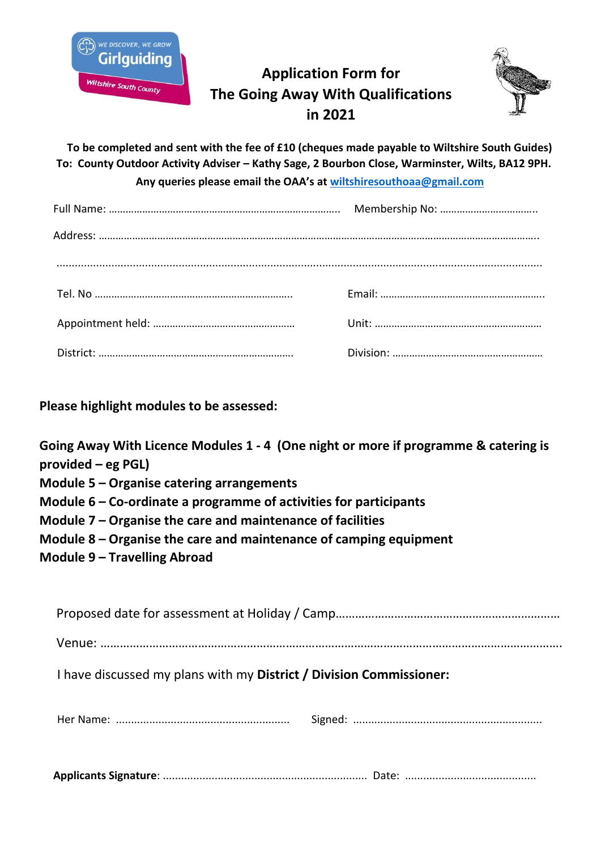

## **Application Form for The Going Away With Qualifications in 2021**



**To be completed and sent with the fee of £10 (cheques made payable to Wiltshire South Guides) To: County Outdoor Activity Adviser – Kathy Sage, 2 Bourbon Close, Warminster, Wilts, BA12 9PH. Any queries please email the OAA's at [wiltshiresouthoaa@gmail.com](mailto:wiltshiresouthoaa@gmail.com)**

**Please highlight modules to be assessed:**

**Going Away With Licence Modules 1 - 4 (One night or more if programme & catering is provided – eg PGL)** 

- **Module 5 – Organise catering arrangements**
- **Module 6 – Co-ordinate a programme of activities for participants**
- **Module 7 – Organise the care and maintenance of facilities**
- **Module 8 – Organise the care and maintenance of camping equipment**
- **Module 9 – Travelling Abroad**

|--|--|

Venue: …………………………………………………………………………………………………………………………….

I have discussed my plans with my **District / Division Commissioner:**